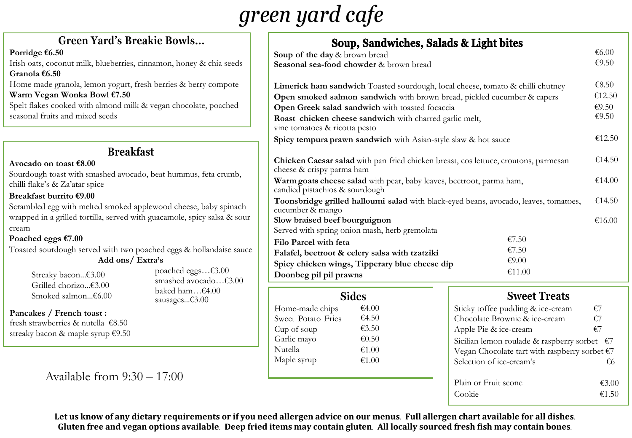## *green yard cafe*

| wls                                                                                                                                                |                                                                         | Soup, Sandwiches, Salads & Light bites                                                                           |  |                                                                                                                                                                                                                                                                                                                                                                                                                                                                                                                                  |  |  |
|----------------------------------------------------------------------------------------------------------------------------------------------------|-------------------------------------------------------------------------|------------------------------------------------------------------------------------------------------------------|--|----------------------------------------------------------------------------------------------------------------------------------------------------------------------------------------------------------------------------------------------------------------------------------------------------------------------------------------------------------------------------------------------------------------------------------------------------------------------------------------------------------------------------------|--|--|
|                                                                                                                                                    | Soup of the day & brown bread                                           |                                                                                                                  |  |                                                                                                                                                                                                                                                                                                                                                                                                                                                                                                                                  |  |  |
|                                                                                                                                                    | Seasonal sea-food chowder & brown bread                                 |                                                                                                                  |  |                                                                                                                                                                                                                                                                                                                                                                                                                                                                                                                                  |  |  |
|                                                                                                                                                    |                                                                         |                                                                                                                  |  |                                                                                                                                                                                                                                                                                                                                                                                                                                                                                                                                  |  |  |
|                                                                                                                                                    |                                                                         | Limerick ham sandwich Toasted sourdough, local cheese, tomato & chilli chutney                                   |  |                                                                                                                                                                                                                                                                                                                                                                                                                                                                                                                                  |  |  |
|                                                                                                                                                    | Open smoked salmon sandwich with brown bread, pickled cucumber & capers |                                                                                                                  |  |                                                                                                                                                                                                                                                                                                                                                                                                                                                                                                                                  |  |  |
|                                                                                                                                                    | Open Greek salad sandwich with toasted focaccia                         |                                                                                                                  |  | €6.00<br>€9.50<br>€8.50<br>€12.50<br>€ $9.50$<br>€ $9.50$<br>€12.50<br>€14.50<br>€14.00<br>Toonsbridge grilled halloumi salad with black-eyed beans, avocado, leaves, tomatoes,<br>€14.50<br>€16.00<br>€7.50<br>€7.50<br>€9.00<br>€11.00<br><b>Sweet Treats</b><br>Sticky toffee pudding & ice-cream<br>€7<br>Chocolate Brownie & ice-cream<br>€7<br>€7<br>Apple Pie & ice-cream<br>Sicilian lemon roulade & raspberry sorbet $\epsilon$ 7<br>Vegan Chocolate tart with raspberry sorbet $E$ 7<br>Selection of ice-cream's<br>€6 |  |  |
|                                                                                                                                                    | Roast chicken cheese sandwich with charred garlic melt,                 |                                                                                                                  |  |                                                                                                                                                                                                                                                                                                                                                                                                                                                                                                                                  |  |  |
|                                                                                                                                                    | vine tomatoes & ricotta pesto                                           |                                                                                                                  |  |                                                                                                                                                                                                                                                                                                                                                                                                                                                                                                                                  |  |  |
|                                                                                                                                                    | Spicy tempura prawn sandwich with Asian-style slaw & hot sauce          |                                                                                                                  |  |                                                                                                                                                                                                                                                                                                                                                                                                                                                                                                                                  |  |  |
|                                                                                                                                                    |                                                                         | Chicken Caesar salad with pan fried chicken breast, cos lettuce, croutons, parmesan<br>cheese & crispy parma ham |  |                                                                                                                                                                                                                                                                                                                                                                                                                                                                                                                                  |  |  |
| oney & chia seeds<br>& berry compote<br>ocolate, poached<br>nmus, feta crumb,<br>e, spicy salsa & sour<br>d avocado€3.00<br>$nam$ €4.00<br>:s€3.00 |                                                                         | Warm goats cheese salad with pear, baby leaves, beetroot, parma ham,<br>candied pistachios & sourdough           |  |                                                                                                                                                                                                                                                                                                                                                                                                                                                                                                                                  |  |  |
| neese, baby spinach                                                                                                                                | cucumber & mango                                                        |                                                                                                                  |  |                                                                                                                                                                                                                                                                                                                                                                                                                                                                                                                                  |  |  |
|                                                                                                                                                    | Slow braised beef bourguignon                                           |                                                                                                                  |  |                                                                                                                                                                                                                                                                                                                                                                                                                                                                                                                                  |  |  |
|                                                                                                                                                    | Served with spring onion mash, herb gremolata                           |                                                                                                                  |  |                                                                                                                                                                                                                                                                                                                                                                                                                                                                                                                                  |  |  |
|                                                                                                                                                    | Filo Parcel with feta                                                   |                                                                                                                  |  |                                                                                                                                                                                                                                                                                                                                                                                                                                                                                                                                  |  |  |
| s & hollandaise sauce                                                                                                                              | Falafel, beetroot & celery salsa with tzatziki                          |                                                                                                                  |  |                                                                                                                                                                                                                                                                                                                                                                                                                                                                                                                                  |  |  |
|                                                                                                                                                    | Spicy chicken wings, Tipperary blue cheese dip                          |                                                                                                                  |  |                                                                                                                                                                                                                                                                                                                                                                                                                                                                                                                                  |  |  |
| d eggs€3.00                                                                                                                                        | Doonbeg pil pil prawns                                                  |                                                                                                                  |  |                                                                                                                                                                                                                                                                                                                                                                                                                                                                                                                                  |  |  |
|                                                                                                                                                    |                                                                         |                                                                                                                  |  |                                                                                                                                                                                                                                                                                                                                                                                                                                                                                                                                  |  |  |
|                                                                                                                                                    | <b>Sides</b>                                                            |                                                                                                                  |  |                                                                                                                                                                                                                                                                                                                                                                                                                                                                                                                                  |  |  |
|                                                                                                                                                    | Home-made chips                                                         | €4.00                                                                                                            |  |                                                                                                                                                                                                                                                                                                                                                                                                                                                                                                                                  |  |  |
|                                                                                                                                                    | Sweet Potato Fries                                                      | €4.50                                                                                                            |  |                                                                                                                                                                                                                                                                                                                                                                                                                                                                                                                                  |  |  |
|                                                                                                                                                    | Cup of soup                                                             | €3.50                                                                                                            |  |                                                                                                                                                                                                                                                                                                                                                                                                                                                                                                                                  |  |  |
|                                                                                                                                                    | Garlic mayo                                                             | € $0.50$                                                                                                         |  |                                                                                                                                                                                                                                                                                                                                                                                                                                                                                                                                  |  |  |
|                                                                                                                                                    | Nutella                                                                 | €1.00                                                                                                            |  |                                                                                                                                                                                                                                                                                                                                                                                                                                                                                                                                  |  |  |
|                                                                                                                                                    | Maple syrup                                                             | €1.00                                                                                                            |  |                                                                                                                                                                                                                                                                                                                                                                                                                                                                                                                                  |  |  |
|                                                                                                                                                    |                                                                         |                                                                                                                  |  |                                                                                                                                                                                                                                                                                                                                                                                                                                                                                                                                  |  |  |
|                                                                                                                                                    |                                                                         |                                                                                                                  |  |                                                                                                                                                                                                                                                                                                                                                                                                                                                                                                                                  |  |  |

#### Plain or Fruit scone  $\epsilon$ 3.00 Cookie  $\epsilon$ 1.50

Let us know of any dietary requirements or if you need allergen advice on our menus. Full allergen chart available for all dishes. Gluten free and vegan options available. Deep fried items may contain gluten. All locally sourced fresh fish may contain bones.

#### **Green Yard's Breakie Boy**

#### **Porridge €6.50**

Irish oats, coconut milk, blueberries, cinnamon, ho **Granola €6.50**

Home made granola, lemon yogurt, fresh berries & **Warm Vegan Wonka Bowl €7.50**

Spelt flakes cooked with almond milk & vegan cho seasonal fruits and mixed seeds

### **Breakfast**

#### **Avocado on toast €8.00**

Sourdough toast with smashed avocado, beat hum chilli flake's & Za'atar spice

#### **Breakfast burrito €9.00**

Scrambled egg with melted smoked applewood ch wrapped in a grilled tortilla, served with guacamole cream

#### **Poached eggs €7.00**

Toasted sourdough served with two poached eggs **Add ons/ Extra's**

| Streaky bacon€3.00   |
|----------------------|
| Grilled chorizo€3.00 |
| Smoked salmon…€6.00  |

poached smashed baked h

#### **Pancakes / French toast :**

fresh strawberries & nutella €8.50 streaky bacon & maple syrup

#### Available from 9:30 – 17:00

sausage:

| p €9.50 |  |  |  |
|---------|--|--|--|
|         |  |  |  |

|  | Chocolate Brownie & ice-cream             | €7 |
|--|-------------------------------------------|----|
|  | Apple Pie & ice-cream                     | €7 |
|  | Sicilian lemon roulade & raspberry sorbet |    |
|  | Vegan Chocolate tart with raspberry sorbe |    |
|  | Selection of ice-cream's                  |    |
|  |                                           |    |
|  | Plain or Fruit scone                      |    |
|  | Cookie                                    |    |